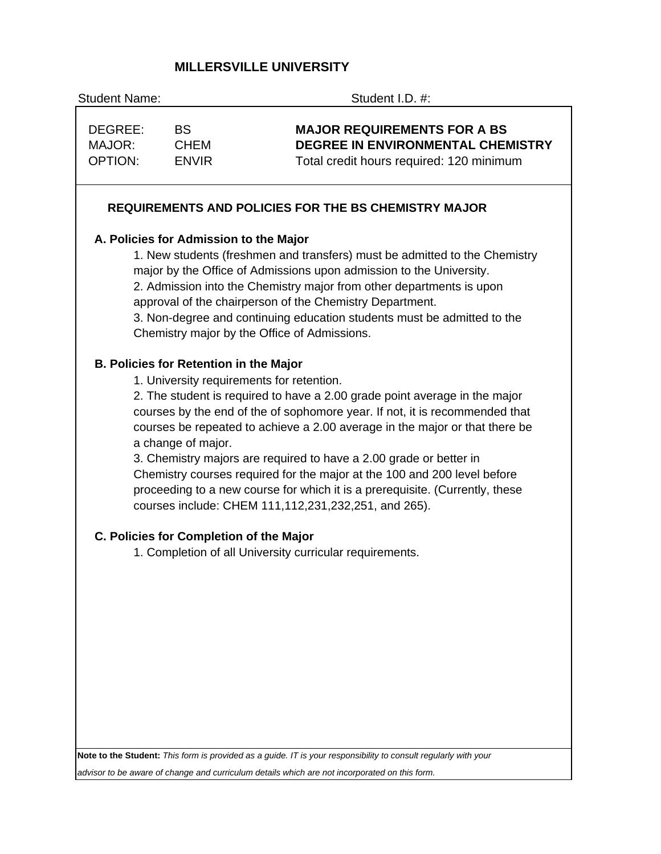# **MILLERSVILLE UNIVERSITY**

| <b>Student Name:</b>                                                                                                                                                                                                                                                                                                                                                                                                                                                                                                                                                                                                                                       |                                          | Student I.D. #:                                                                                                                                                                                                                                                                                                                                                                                                  |  |  |  |
|------------------------------------------------------------------------------------------------------------------------------------------------------------------------------------------------------------------------------------------------------------------------------------------------------------------------------------------------------------------------------------------------------------------------------------------------------------------------------------------------------------------------------------------------------------------------------------------------------------------------------------------------------------|------------------------------------------|------------------------------------------------------------------------------------------------------------------------------------------------------------------------------------------------------------------------------------------------------------------------------------------------------------------------------------------------------------------------------------------------------------------|--|--|--|
| DEGREE:<br>MAJOR:<br><b>OPTION:</b>                                                                                                                                                                                                                                                                                                                                                                                                                                                                                                                                                                                                                        | <b>BS</b><br><b>CHEM</b><br><b>ENVIR</b> | <b>MAJOR REQUIREMENTS FOR A BS</b><br><b>DEGREE IN ENVIRONMENTAL CHEMISTRY</b><br>Total credit hours required: 120 minimum                                                                                                                                                                                                                                                                                       |  |  |  |
|                                                                                                                                                                                                                                                                                                                                                                                                                                                                                                                                                                                                                                                            |                                          | <b>REQUIREMENTS AND POLICIES FOR THE BS CHEMISTRY MAJOR</b>                                                                                                                                                                                                                                                                                                                                                      |  |  |  |
|                                                                                                                                                                                                                                                                                                                                                                                                                                                                                                                                                                                                                                                            | A. Policies for Admission to the Major   | 1. New students (freshmen and transfers) must be admitted to the Chemistry<br>major by the Office of Admissions upon admission to the University.<br>2. Admission into the Chemistry major from other departments is upon<br>approval of the chairperson of the Chemistry Department.<br>3. Non-degree and continuing education students must be admitted to the<br>Chemistry major by the Office of Admissions. |  |  |  |
| <b>B. Policies for Retention in the Major</b><br>1. University requirements for retention.<br>2. The student is required to have a 2.00 grade point average in the major<br>courses by the end of the of sophomore year. If not, it is recommended that<br>courses be repeated to achieve a 2.00 average in the major or that there be<br>a change of major.<br>3. Chemistry majors are required to have a 2.00 grade or better in<br>Chemistry courses required for the major at the 100 and 200 level before<br>proceeding to a new course for which it is a prerequisite. (Currently, these<br>courses include: CHEM 111, 112, 231, 232, 251, and 265). |                                          |                                                                                                                                                                                                                                                                                                                                                                                                                  |  |  |  |
|                                                                                                                                                                                                                                                                                                                                                                                                                                                                                                                                                                                                                                                            | C. Policies for Completion of the Major  | 1. Completion of all University curricular requirements.                                                                                                                                                                                                                                                                                                                                                         |  |  |  |
|                                                                                                                                                                                                                                                                                                                                                                                                                                                                                                                                                                                                                                                            |                                          | Note to the Student: This form is provided as a guide. IT is your responsibility to consult regularly with your                                                                                                                                                                                                                                                                                                  |  |  |  |

*advisor to be aware of change and curriculum details which are not incorporated on this form.*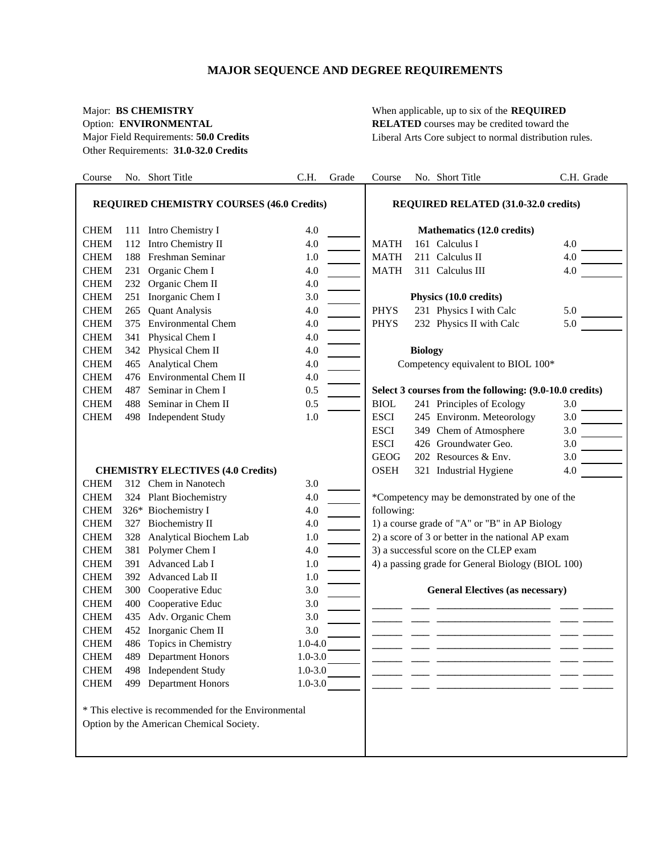# **MAJOR SEQUENCE AND DEGREE REQUIREMENTS**

Other Requirements: **31.0-32.0 Credits**

Major: **BS CHEMISTRY** When applicable, up to six of the **REQUIRED** Option: **ENVIRONMENTAL RELATED** courses may be credited toward the Major Field Requirements: **50.0 Credits** Liberal Arts Core subject to normal distribution rules.

| Course      |       | No. Short Title                                      | C.H.        | Grade | Course      |                | No. Short Title                                         | C.H. Grade |
|-------------|-------|------------------------------------------------------|-------------|-------|-------------|----------------|---------------------------------------------------------|------------|
|             |       | <b>REQUIRED CHEMISTRY COURSES (46.0 Credits)</b>     |             |       |             |                | <b>REQUIRED RELATED (31.0-32.0 credits)</b>             |            |
|             |       |                                                      |             |       |             |                |                                                         |            |
| <b>CHEM</b> |       | 111 Intro Chemistry I                                | 4.0         |       |             |                | Mathematics (12.0 credits)                              |            |
| <b>CHEM</b> |       | 112 Intro Chemistry II                               | 4.0         |       | <b>MATH</b> |                | 161 Calculus I                                          | 4.0        |
| <b>CHEM</b> |       | 188 Freshman Seminar                                 | 1.0         |       | <b>MATH</b> |                | 211 Calculus II                                         | 4.0        |
| <b>CHEM</b> |       | 231 Organic Chem I                                   | 4.0         |       | <b>MATH</b> |                | 311 Calculus III                                        | 4.0        |
| <b>CHEM</b> |       | 232 Organic Chem II                                  | 4.0         |       |             |                |                                                         |            |
| <b>CHEM</b> |       | 251 Inorganic Chem I                                 | 3.0         |       |             |                | Physics (10.0 credits)                                  |            |
| <b>CHEM</b> |       | 265 Quant Analysis                                   | 4.0         |       | <b>PHYS</b> |                | 231 Physics I with Calc                                 | 5.0        |
| <b>CHEM</b> |       | 375 Environmental Chem                               | 4.0         |       | <b>PHYS</b> |                | 232 Physics II with Calc                                | 5.0        |
| <b>CHEM</b> |       | 341 Physical Chem I                                  | 4.0         |       |             |                |                                                         |            |
| <b>CHEM</b> |       | 342 Physical Chem II                                 | 4.0         |       |             | <b>Biology</b> |                                                         |            |
| <b>CHEM</b> |       | 465 Analytical Chem                                  | 4.0         |       |             |                | Competency equivalent to BIOL 100*                      |            |
| <b>CHEM</b> |       | 476 Environmental Chem II                            | 4.0         |       |             |                |                                                         |            |
| <b>CHEM</b> | 487   | Seminar in Chem I                                    | 0.5         |       |             |                | Select 3 courses from the following: (9.0-10.0 credits) |            |
| <b>CHEM</b> | 488 - | Seminar in Chem II                                   | 0.5         |       | <b>BIOL</b> |                | 241 Principles of Ecology                               | 3.0        |
| <b>CHEM</b> |       | 498 Independent Study                                | 1.0         |       | <b>ESCI</b> |                | 245 Environm. Meteorology                               | 3.0        |
|             |       |                                                      |             |       | <b>ESCI</b> |                | 349 Chem of Atmosphere                                  | 3.0        |
|             |       |                                                      |             |       | <b>ESCI</b> |                | 426 Groundwater Geo.                                    | 3.0        |
|             |       |                                                      |             |       | <b>GEOG</b> |                | 202 Resources & Env.                                    | 3.0        |
|             |       | <b>CHEMISTRY ELECTIVES (4.0 Credits)</b>             |             |       | <b>OSEH</b> |                | 321 Industrial Hygiene                                  | 4.0        |
| <b>CHEM</b> |       | 312 Chem in Nanotech                                 | 3.0         |       |             |                |                                                         |            |
| <b>CHEM</b> |       | 324 Plant Biochemistry                               | 4.0         |       |             |                | *Competency may be demonstrated by one of the           |            |
| <b>CHEM</b> |       | 326* Biochemistry I                                  | 4.0         |       | following:  |                |                                                         |            |
| <b>CHEM</b> |       | 327 Biochemistry II                                  | 4.0         |       |             |                | 1) a course grade of "A" or "B" in AP Biology           |            |
| <b>CHEM</b> |       | 328 Analytical Biochem Lab                           | 1.0         |       |             |                | 2) a score of 3 or better in the national AP exam       |            |
| <b>CHEM</b> |       | 381 Polymer Chem I                                   | 4.0         |       |             |                | 3) a successful score on the CLEP exam                  |            |
| <b>CHEM</b> |       | 391 Advanced Lab I                                   | 1.0         |       |             |                | 4) a passing grade for General Biology (BIOL 100)       |            |
| <b>CHEM</b> |       | 392 Advanced Lab II                                  | 1.0         |       |             |                |                                                         |            |
| <b>CHEM</b> |       | 300 Cooperative Educ                                 | 3.0         |       |             |                | <b>General Electives (as necessary)</b>                 |            |
| <b>CHEM</b> | 400   | Cooperative Educ                                     | 3.0         |       |             |                |                                                         |            |
| <b>CHEM</b> |       | 435 Adv. Organic Chem                                | 3.0         |       |             |                |                                                         |            |
| <b>CHEM</b> |       | 452 Inorganic Chem II                                | 3.0         |       |             |                |                                                         |            |
| <b>CHEM</b> |       | 486 Topics in Chemistry                              | $1.0 - 4.0$ |       |             |                |                                                         |            |
| <b>CHEM</b> |       | 489 Department Honors                                | $1.0 - 3.0$ |       |             |                |                                                         |            |
| <b>CHEM</b> |       | 498 Independent Study                                | $1.0 - 3.0$ |       |             |                |                                                         |            |
| <b>CHEM</b> |       | 499 Department Honors                                | $1.0 - 3.0$ |       |             |                |                                                         |            |
|             |       |                                                      |             |       |             |                |                                                         |            |
|             |       | * This elective is recommended for the Environmental |             |       |             |                |                                                         |            |
|             |       | Option by the American Chemical Society.             |             |       |             |                |                                                         |            |
|             |       |                                                      |             |       |             |                |                                                         |            |